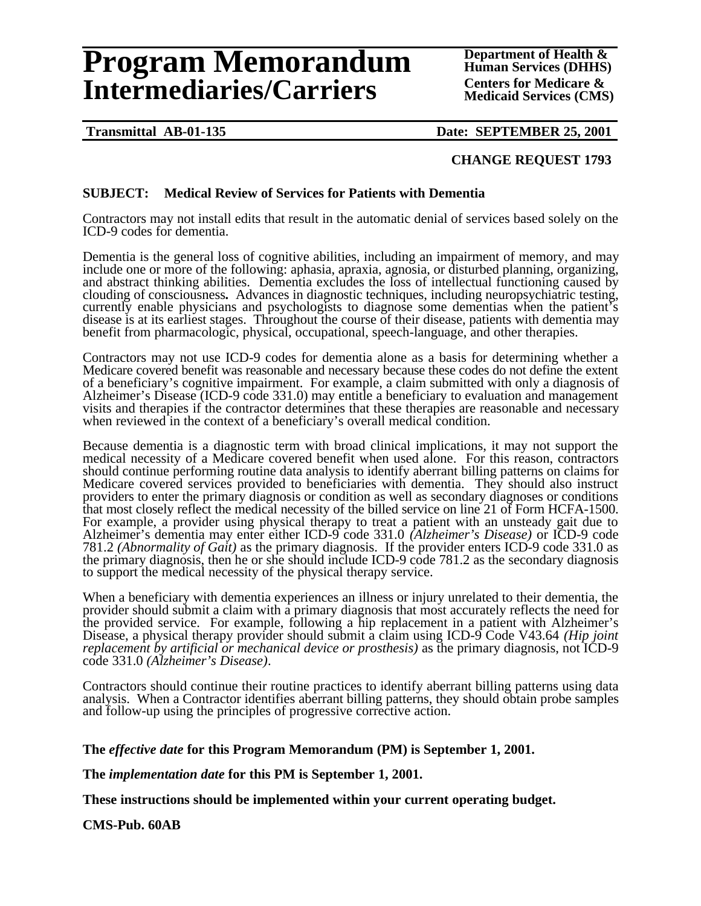# **Program Memorandum** Department of Health &<br> **Program Memorandum** Human Services (DHHS) **Intermediaries/Carriers** Centers for Medicare &

**Transmittal AB-01-135 Date: SEPTEMBER 25, 2001** 

## **CHANGE REQUEST 1793**

## **SUBJECT: Medical Review of Services for Patients with Dementia**

Contractors may not install edits that result in the automatic denial of services based solely on the ICD-9 codes for dementia.

Dementia is the general loss of cognitive abilities, including an impairment of memory, and may include one or more of the following: aphasia, apraxia, agnosia, or disturbed planning, organizing, and abstract thinking abilities. Dementia excludes the loss of intellectual functioning caused by clouding of consciousness**.** Advances in diagnostic techniques, including neuropsychiatric testing, currently enable physicians and psychologists to diagnose some dementias when the patient's disease is at its earliest stages. Throughout the course of their disease, patients with dementia may benefit from pharmacologic, physical, occupational, speech-language, and other therapies.

Contractors may not use ICD-9 codes for dementia alone as a basis for determining whether a Medicare covered benefit was reasonable and necessary because these codes do not define the extent of a beneficiary's cognitive impairment. For example, a claim submitted with only a diagnosis of Alzheimer's Disease (ICD-9 code 331.0) may entitle a beneficiary to evaluation and management visits and therapies if the contractor determines that these therapies are reasonable and necessary when reviewed in the context of a beneficiary's overall medical condition.

Because dementia is a diagnostic term with broad clinical implications, it may not support the medical necessity of a Medicare covered benefit when used alone. For this reason, contractors should continue performing routine data analysis to identify aberrant billing patterns on claims for Medicare covered services provided to beneficiaries with dementia. They should also instruct providers to enter the primary diagnosis or condition as well as secondary diagnoses or conditions that most closely reflect the medical necessity of the billed service on line 21 of Form HCFA-1500. For example, a provider using physical therapy to treat a patient with an unsteady gait due to Alzheimer's dementia may enter either ICD-9 code 331.0 *(Alzheimer's Disease)* or ICD-9 code 781.2 *(Abnormality of Gait)* as the primary diagnosis. If the provider enters ICD-9 code 331.0 as the primary diagnosis, then he or she should include ICD-9 code 781.2 as the secondary diagnosis to support the medical necessity of the physical therapy service.

When a beneficiary with dementia experiences an illness or injury unrelated to their dementia, the provider should submit a claim with a primary diagnosis that most accurately reflects the need for the provided service. For example, following a hip replacement in a patient with Alzheimer's Disease, a physical therapy provider should submit a claim using ICD-9 Code V43.64 *(Hip joint replacement by artificial or mechanical device or prosthesis)* as the primary diagnosis, not ICD-9 code 331.0 *(Alzheimer's Disease)*.

Contractors should continue their routine practices to identify aberrant billing patterns using data analysis. When a Contractor identifies aberrant billing patterns, they should obtain probe samples and follow-up using the principles of progressive corrective action.

#### **The** *effective date* **for this Program Memorandum (PM) is September 1, 2001.**

**The** *implementation date* **for this PM is September 1, 2001.** 

**These instructions should be implemented within your current operating budget.** 

**CMS-Pub. 60AB**